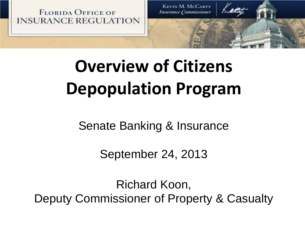**FLORIDA OFFICE OF INSURANCE REGULATION** 

**KEVIN M. MCCARTY Insurance Commissioner** 

# **Overview of Citizens Depopulation Program**

Senate Banking & Insurance

September 24, 2013

Richard Koon, Deputy Commissioner of Property & Casualty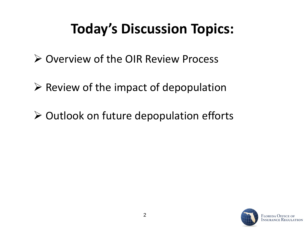## **Today's Discussion Topics:**

- $\triangleright$  Overview of the OIR Review Process
- $\triangleright$  Review of the impact of depopulation
- $\triangleright$  Outlook on future depopulation efforts

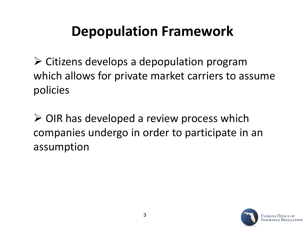### **Depopulation Framework**

 $\triangleright$  Citizens develops a depopulation program which allows for private market carriers to assume policies

 $\triangleright$  OIR has developed a review process which companies undergo in order to participate in an assumption

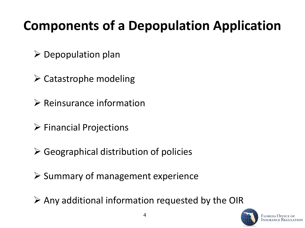#### **Components of a Depopulation Application**

- $\triangleright$  Depopulation plan
- $\triangleright$  Catastrophe modeling
- $\triangleright$  Reinsurance information
- $\triangleright$  Financial Projections
- $\triangleright$  Geographical distribution of policies
- $\triangleright$  Summary of management experience
- $\triangleright$  Any additional information requested by the OIR

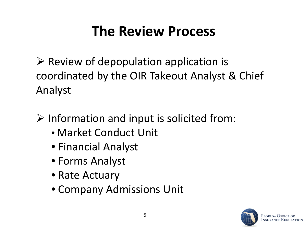### **The Review Process**

 $\triangleright$  Review of depopulation application is coordinated by the OIR Takeout Analyst & Chief Analyst

 $\triangleright$  Information and input is solicited from:

- Market Conduct Unit
- Financial Analyst
- Forms Analyst
- Rate Actuary
- Company Admissions Unit

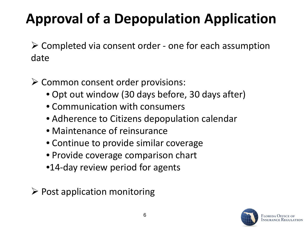# **Approval of a Depopulation Application**

 Completed via consent order - one for each assumption date

 $\triangleright$  Common consent order provisions:

- Opt out window (30 days before, 30 days after)
- Communication with consumers
- Adherence to Citizens depopulation calendar
- Maintenance of reinsurance
- Continue to provide similar coverage
- Provide coverage comparison chart
- •14-day review period for agents
- $\triangleright$  Post application monitoring

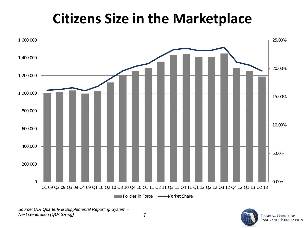#### **Citizens Size in the Marketplace**



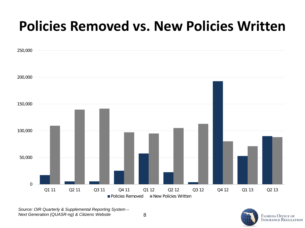#### **Policies Removed vs. New Policies Written**



*Source: OIR Quarterly & Supplemental Reporting System – Next Generation (QUASR-ng) & Citizens Website*



**FLORIDA OFFICE OF INSURANCE REGULATION**